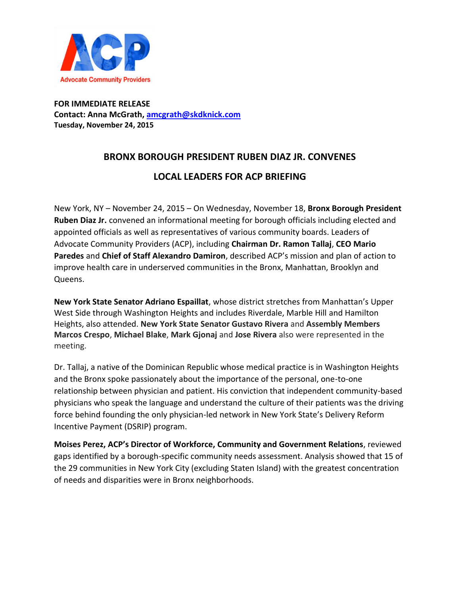

**FOR IMMEDIATE RELEASE Contact: Anna McGrath, [amcgrath@skdknick.com](mailto:amcgrath@skdknick.com) Tuesday, November 24, 2015**

## **BRONX BOROUGH PRESIDENT RUBEN DIAZ JR. CONVENES**

## **LOCAL LEADERS FOR ACP BRIEFING**

New York, NY – November 24, 2015 – On Wednesday, November 18, **Bronx Borough President Ruben Diaz Jr.** convened an informational meeting for borough officials including elected and appointed officials as well as representatives of various community boards. Leaders of Advocate Community Providers (ACP), including **Chairman Dr. Ramon Tallaj**, **CEO Mario Paredes** and **Chief of Staff Alexandro Damiron**, described ACP's mission and plan of action to improve health care in underserved communities in the Bronx, Manhattan, Brooklyn and Queens.

**New York State Senator Adriano Espaillat**, whose district stretches from Manhattan's Upper West Side through Washington Heights and includes Riverdale, Marble Hill and Hamilton Heights, also attended. **New York State Senator Gustavo Rivera** and **Assembly Members Marcos Crespo**, **Michael Blake**, **Mark Gjonaj** and **Jose Rivera** also were represented in the meeting.

Dr. Tallaj, a native of the Dominican Republic whose medical practice is in Washington Heights and the Bronx spoke passionately about the importance of the personal, one-to-one relationship between physician and patient. His conviction that independent community-based physicians who speak the language and understand the culture of their patients was the driving force behind founding the only physician-led network in New York State's Delivery Reform Incentive Payment (DSRIP) program.

**Moises Perez, ACP's Director of Workforce, Community and Government Relations**, reviewed gaps identified by a borough-specific community needs assessment. Analysis showed that 15 of the 29 communities in New York City (excluding Staten Island) with the greatest concentration of needs and disparities were in Bronx neighborhoods.